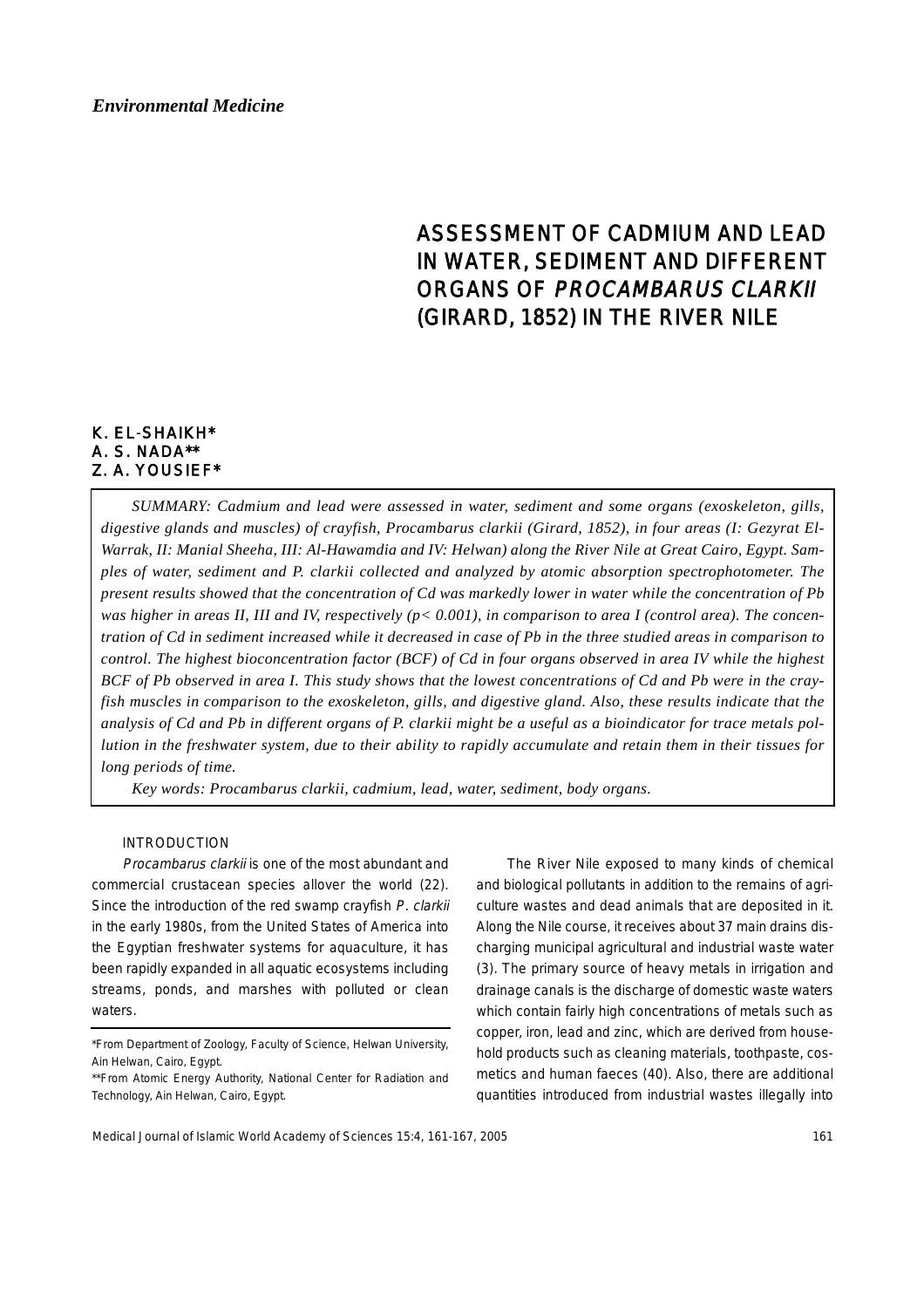# ASSESSMENT OF CADMIUM AND LEAD IN WATER, SEDIMENT AND DIFFERENT ORGANS OF PROCAMBARUS CLARKII (GIRARD, 1852) IN THE RIVER NILE

# K. EL-SHAIKH\* A. S. NADA\*\* Z. A. YOUSIEF\*

*SUMMARY: Cadmium and lead were assessed in water, sediment and some organs (exoskeleton, gills, digestive glands and muscles) of crayfish, Procambarus clarkii (Girard, 1852), in four areas (I: Gezyrat El-Warrak, II: Manial Sheeha, III: Al-Hawamdia and IV: Helwan) along the River Nile at Great Cairo, Egypt. Samples of water, sediment and P. clarkii collected and analyzed by atomic absorption spectrophotometer. The present results showed that the concentration of Cd was markedly lower in water while the concentration of Pb was higher in areas II, III and IV, respectively (p< 0.001), in comparison to area I (control area). The concentration of Cd in sediment increased while it decreased in case of Pb in the three studied areas in comparison to control. The highest bioconcentration factor (BCF) of Cd in four organs observed in area IV while the highest BCF of Pb observed in area I. This study shows that the lowest concentrations of Cd and Pb were in the crayfish muscles in comparison to the exoskeleton, gills, and digestive gland. Also, these results indicate that the analysis of Cd and Pb in different organs of P. clarkii might be a useful as a bioindicator for trace metals pollution in the freshwater system, due to their ability to rapidly accumulate and retain them in their tissues for long periods of time.*

*Key words: Procambarus clarkii, cadmium, lead, water, sediment, body organs.*

## INTRODUCTION

Procambarus clarkii is one of the most abundant and commercial crustacean species allover the world (22). Since the introduction of the red swamp crayfish P. clarkii in the early 1980s, from the United States of America into the Egyptian freshwater systems for aquaculture, it has been rapidly expanded in all aquatic ecosystems including streams, ponds, and marshes with polluted or clean waters.

The River Nile exposed to many kinds of chemical and biological pollutants in addition to the remains of agriculture wastes and dead animals that are deposited in it. Along the Nile course, it receives about 37 main drains discharging municipal agricultural and industrial waste water (3). The primary source of heavy metals in irrigation and drainage canals is the discharge of domestic waste waters which contain fairly high concentrations of metals such as copper, iron, lead and zinc, which are derived from household products such as cleaning materials, toothpaste, cosmetics and human faeces (40). Also, there are additional quantities introduced from industrial wastes illegally into

<sup>\*</sup>From Department of Zoology, Faculty of Science, Helwan University, Ain Helwan, Cairo, Egypt.

<sup>\*\*</sup>From Atomic Energy Authority, National Center for Radiation and Technology, Ain Helwan, Cairo, Egypt.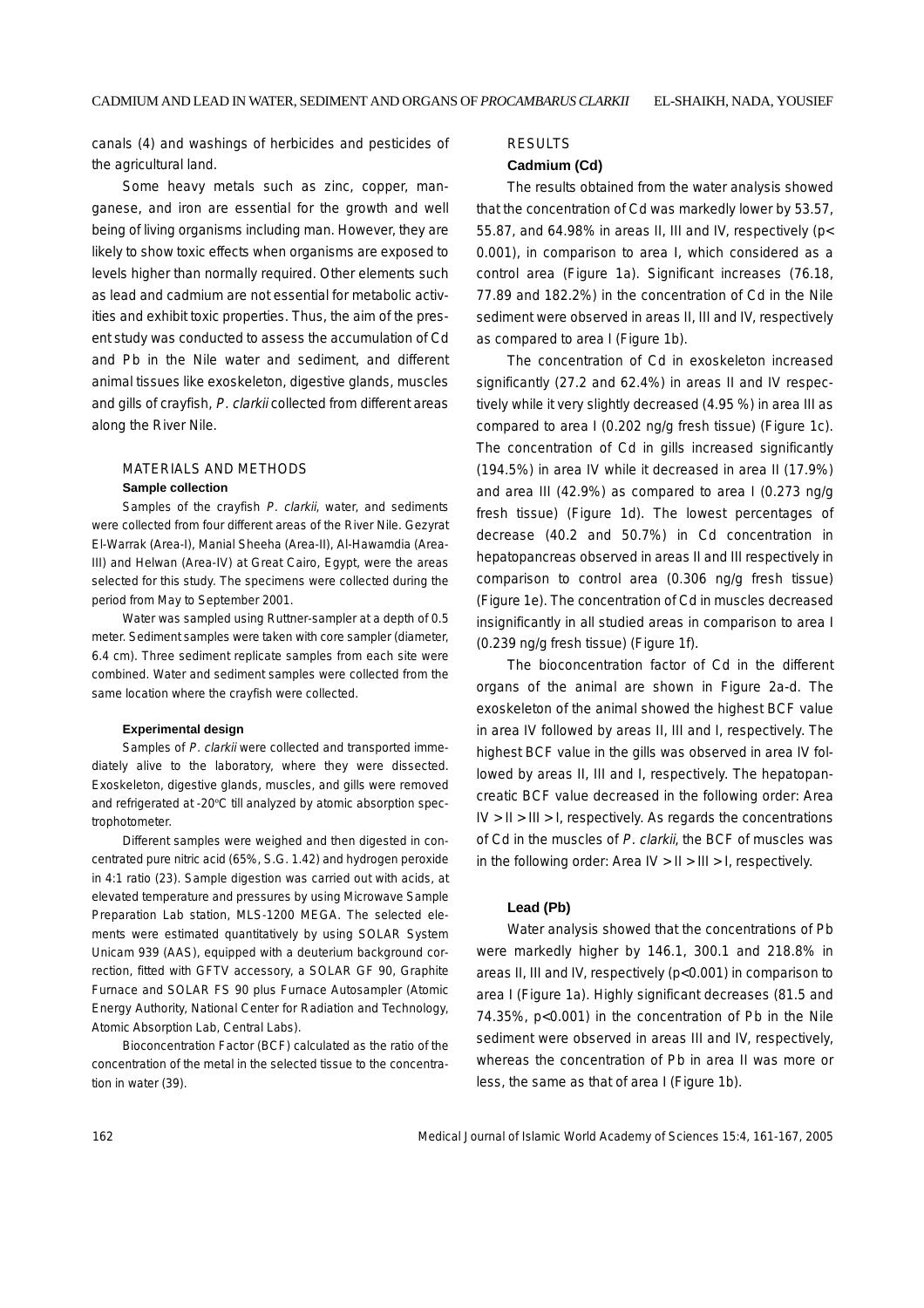canals (4) and washings of herbicides and pesticides of the agricultural land.

Some heavy metals such as zinc, copper, manganese, and iron are essential for the growth and well being of living organisms including man. However, they are likely to show toxic effects when organisms are exposed to levels higher than normally required. Other elements such as lead and cadmium are not essential for metabolic activities and exhibit toxic properties. Thus, the aim of the present study was conducted to assess the accumulation of Cd and Pb in the Nile water and sediment, and different animal tissues like exoskeleton, digestive glands, muscles and gills of crayfish, P. clarkii collected from different areas along the River Nile.

## MATERIALS AND METHODS **Sample collection**

Samples of the crayfish P. clarkii, water, and sediments were collected from four different areas of the River Nile. Gezyrat El-Warrak (Area-I), Manial Sheeha (Area-II), Al-Hawamdia (Area-III) and Helwan (Area-IV) at Great Cairo, Egypt, were the areas selected for this study. The specimens were collected during the period from May to September 2001.

Water was sampled using Ruttner-sampler at a depth of 0.5 meter. Sediment samples were taken with core sampler (diameter, 6.4 cm). Three sediment replicate samples from each site were combined. Water and sediment samples were collected from the same location where the crayfish were collected.

#### **Experimental design**

Samples of P. clarkii were collected and transported immediately alive to the laboratory, where they were dissected. Exoskeleton, digestive glands, muscles, and gills were removed and refrigerated at -20ºC till analyzed by atomic absorption spectrophotometer.

Different samples were weighed and then digested in concentrated pure nitric acid (65%, S.G. 1.42) and hydrogen peroxide in 4:1 ratio (23). Sample digestion was carried out with acids, at elevated temperature and pressures by using Microwave Sample Preparation Lab station, MLS-1200 MEGA. The selected elements were estimated quantitatively by using SOLAR System Unicam 939 (AAS), equipped with a deuterium background correction, fitted with GFTV accessory, a SOLAR GF 90, Graphite Furnace and SOLAR FS 90 plus Furnace Autosampler (Atomic Energy Authority, National Center for Radiation and Technology, Atomic Absorption Lab, Central Labs).

Bioconcentration Factor (BCF) calculated as the ratio of the concentration of the metal in the selected tissue to the concentration in water (39).

## RESULTS

#### **Cadmium (Cd)**

The results obtained from the water analysis showed that the concentration of Cd was markedly lower by 53.57, 55.87, and 64.98% in areas II, III and IV, respectively (p< 0.001), in comparison to area I, which considered as a control area (Figure 1a). Significant increases (76.18, 77.89 and 182.2%) in the concentration of Cd in the Nile sediment were observed in areas II, III and IV, respectively as compared to area I (Figure 1b).

The concentration of Cd in exoskeleton increased significantly (27.2 and 62.4%) in areas II and IV respectively while it very slightly decreased (4.95 %) in area III as compared to area I (0.202 ng/g fresh tissue) (Figure 1c). The concentration of Cd in gills increased significantly (194.5%) in area IV while it decreased in area II (17.9%) and area III (42.9%) as compared to area I (0.273 ng/g fresh tissue) (Figure 1d). The lowest percentages of decrease (40.2 and 50.7%) in Cd concentration in hepatopancreas observed in areas II and III respectively in comparison to control area (0.306 ng/g fresh tissue) (Figure 1e). The concentration of Cd in muscles decreased insignificantly in all studied areas in comparison to area I (0.239 ng/g fresh tissue) (Figure 1f).

The bioconcentration factor of Cd in the different organs of the animal are shown in Figure 2a-d. The exoskeleton of the animal showed the highest BCF value in area IV followed by areas II, III and I, respectively. The highest BCF value in the gills was observed in area IV followed by areas II, III and I, respectively. The hepatopancreatic BCF value decreased in the following order: Area  $IV > II > III > I$ , respectively. As regards the concentrations of Cd in the muscles of P. clarkii, the BCF of muscles was in the following order: Area  $IV > II > III > I$ , respectively.

## **Lead (Pb)**

Water analysis showed that the concentrations of Pb were markedly higher by 146.1, 300.1 and 218.8% in areas II, III and IV, respectively (p<0.001) in comparison to area I (Figure 1a). Highly significant decreases (81.5 and 74.35%, p<0.001) in the concentration of Pb in the Nile sediment were observed in areas III and IV, respectively, whereas the concentration of Pb in area II was more or less, the same as that of area I (Figure 1b).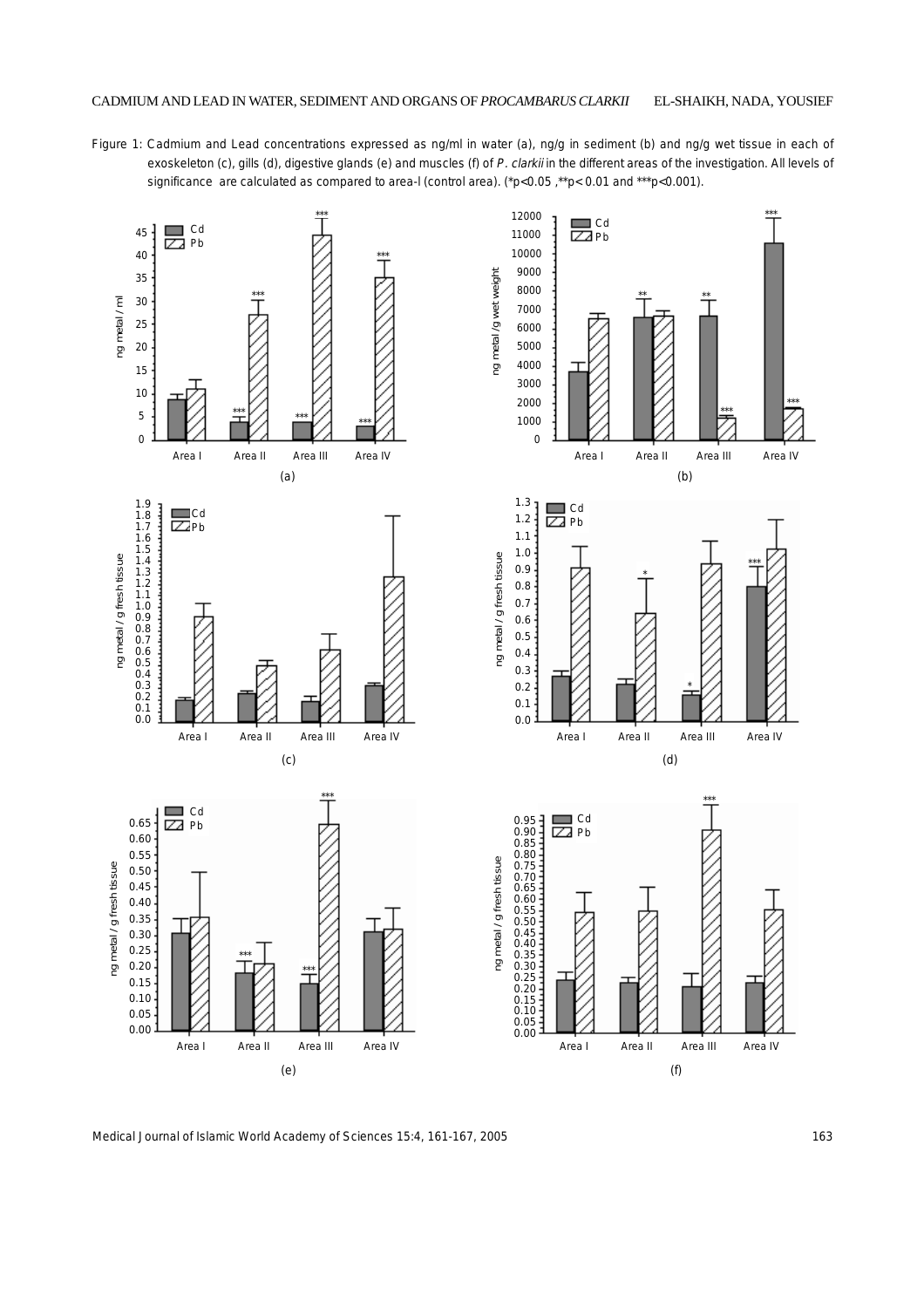Figure 1: Cadmium and Lead concentrations expressed as ng/ml in water (a), ng/g in sediment (b) and ng/g wet tissue in each of exoskeleton (c), gills (d), digestive glands (e) and muscles (f) of P. clarkii in the different areas of the investigation. All levels of significance are calculated as compared to area-I (control area). (\*p<0.05, \*\*p<0.01 and \*\*\*p<0.001).



Medical Journal of Islamic World Academy of Sciences 15:4, 161-167, 2005 163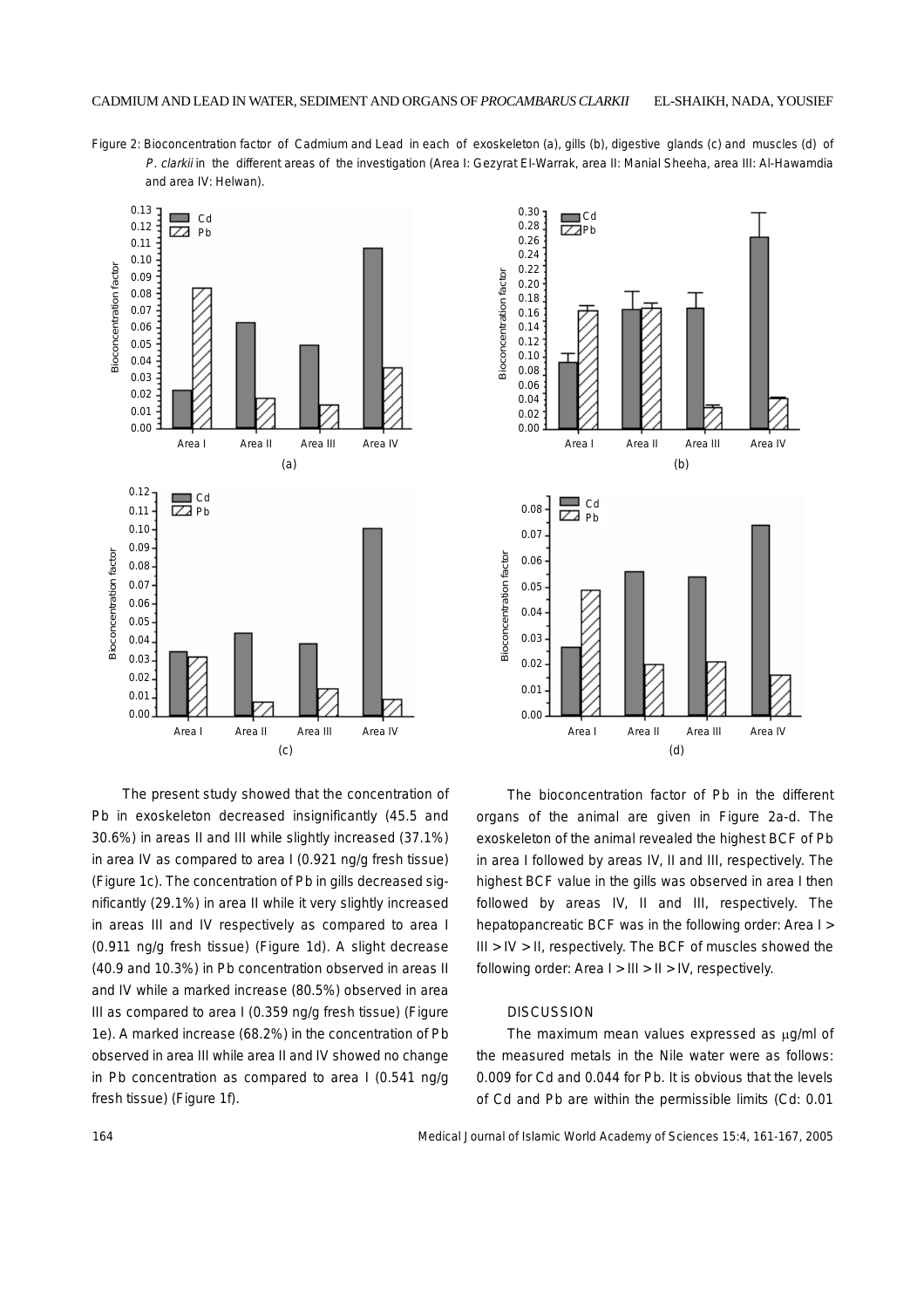Figure 2: Bioconcentration factor of Cadmium and Lead in each of exoskeleton (a), gills (b), digestive glands (c) and muscles (d) of P. clarkii in the different areas of the investigation (Area I: Gezyrat El-Warrak, area II: Manial Sheeha, area III: Al-Hawamdia and area IV: Helwan).



0.30  $\Box$ Cd 0.28 **Z**Pb 0.26 0.24 0.22 Bioconcentration factor **Bioconcentration factor** 0.20 0.18 0.16 0.14 0.12 0.10 0.08 0.06 0.04 0.02 0.00 Area I Area II Area III Area IV (b)  $\Box$  Cd 0.08  $\overline{\mathbb{Z}}$  Pb 0.07 **Bioconcentration factor** Bioconcentration factor0.06 0.05 0.04 0.03 0.02 0.01 0.00 Area I Area II Area III Area IV (d)

The present study showed that the concentration of Pb in exoskeleton decreased insignificantly (45.5 and 30.6%) in areas II and III while slightly increased (37.1%) in area IV as compared to area I (0.921 ng/g fresh tissue) (Figure 1c). The concentration of Pb in gills decreased significantly (29.1%) in area II while it very slightly increased in areas III and IV respectively as compared to area I (0.911 ng/g fresh tissue) (Figure 1d). A slight decrease (40.9 and 10.3%) in Pb concentration observed in areas II and IV while a marked increase (80.5%) observed in area III as compared to area I (0.359 ng/g fresh tissue) (Figure 1e). A marked increase (68.2%) in the concentration of Pb observed in area III while area II and IV showed no change in Pb concentration as compared to area I (0.541 ng/g fresh tissue) (Figure 1f).

The bioconcentration factor of Pb in the different organs of the animal are given in Figure 2a-d. The exoskeleton of the animal revealed the highest BCF of Pb in area I followed by areas IV, II and III, respectively. The highest BCF value in the gills was observed in area I then followed by areas IV, II and III, respectively. The hepatopancreatic BCF was in the following order: Area I > III > IV > II, respectively. The BCF of muscles showed the following order: Area  $I > III > II > IV$ , respectively.

### **DISCUSSION**

The maximum mean values expressed as  $\mu q$ /ml of the measured metals in the Nile water were as follows: 0.009 for Cd and 0.044 for Pb. It is obvious that the levels of Cd and Pb are within the permissible limits (Cd: 0.01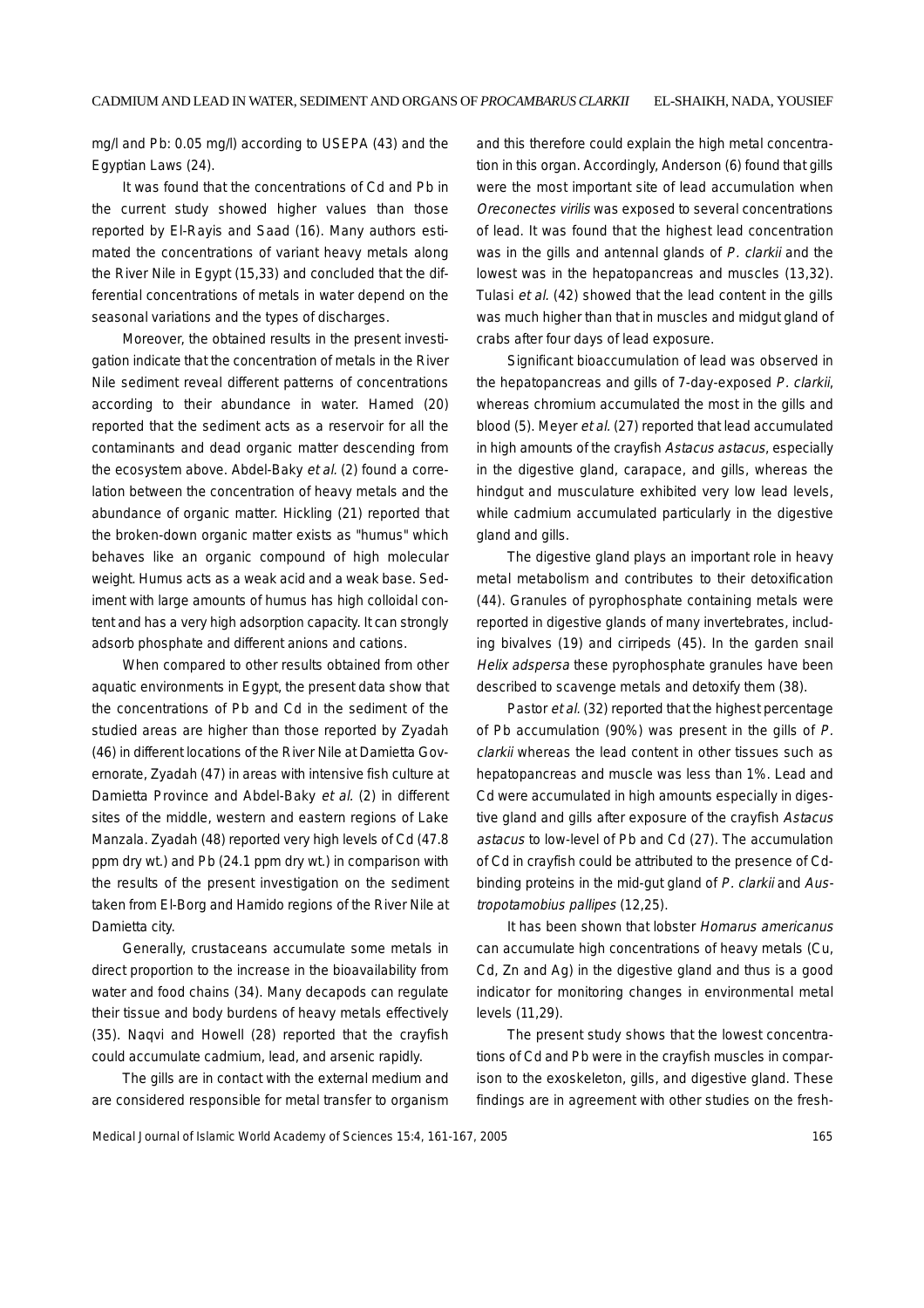mg/l and Pb: 0.05 mg/l) according to USEPA (43) and the Egyptian Laws (24).

It was found that the concentrations of Cd and Pb in the current study showed higher values than those reported by El-Rayis and Saad (16). Many authors estimated the concentrations of variant heavy metals along the River Nile in Egypt (15,33) and concluded that the differential concentrations of metals in water depend on the seasonal variations and the types of discharges.

Moreover, the obtained results in the present investigation indicate that the concentration of metals in the River Nile sediment reveal different patterns of concentrations according to their abundance in water. Hamed (20) reported that the sediment acts as a reservoir for all the contaminants and dead organic matter descending from the ecosystem above. Abdel-Baky et al. (2) found a correlation between the concentration of heavy metals and the abundance of organic matter. Hickling (21) reported that the broken-down organic matter exists as "humus" which behaves like an organic compound of high molecular weight. Humus acts as a weak acid and a weak base. Sediment with large amounts of humus has high colloidal content and has a very high adsorption capacity. It can strongly adsorb phosphate and different anions and cations.

When compared to other results obtained from other aquatic environments in Egypt, the present data show that the concentrations of Pb and Cd in the sediment of the studied areas are higher than those reported by Zyadah (46) in different locations of the River Nile at Damietta Governorate, Zyadah (47) in areas with intensive fish culture at Damietta Province and Abdel-Baky et al. (2) in different sites of the middle, western and eastern regions of Lake Manzala. Zyadah (48) reported very high levels of Cd (47.8 ppm dry wt.) and Pb (24.1 ppm dry wt.) in comparison with the results of the present investigation on the sediment taken from El-Borg and Hamido regions of the River Nile at Damietta city.

Generally, crustaceans accumulate some metals in direct proportion to the increase in the bioavailability from water and food chains (34). Many decapods can regulate their tissue and body burdens of heavy metals effectively (35). Naqvi and Howell (28) reported that the crayfish could accumulate cadmium, lead, and arsenic rapidly.

The gills are in contact with the external medium and are considered responsible for metal transfer to organism

and this therefore could explain the high metal concentration in this organ. Accordingly, Anderson (6) found that gills were the most important site of lead accumulation when Oreconectes virilis was exposed to several concentrations of lead. It was found that the highest lead concentration was in the gills and antennal glands of P. clarkii and the lowest was in the hepatopancreas and muscles (13,32). Tulasi et al. (42) showed that the lead content in the gills was much higher than that in muscles and midgut gland of crabs after four days of lead exposure.

Significant bioaccumulation of lead was observed in the hepatopancreas and gills of 7-day-exposed P. clarkii, whereas chromium accumulated the most in the gills and blood (5). Meyer et al. (27) reported that lead accumulated in high amounts of the crayfish Astacus astacus, especially in the digestive gland, carapace, and gills, whereas the hindgut and musculature exhibited very low lead levels, while cadmium accumulated particularly in the digestive gland and gills.

The digestive gland plays an important role in heavy metal metabolism and contributes to their detoxification (44). Granules of pyrophosphate containing metals were reported in digestive glands of many invertebrates, including bivalves (19) and cirripeds (45). In the garden snail Helix adspersa these pyrophosphate granules have been described to scavenge metals and detoxify them (38).

Pastor *et al.* (32) reported that the highest percentage of Pb accumulation (90%) was present in the gills of P. clarkii whereas the lead content in other tissues such as hepatopancreas and muscle was less than 1%. Lead and Cd were accumulated in high amounts especially in digestive gland and gills after exposure of the crayfish Astacus astacus to low-level of Pb and Cd (27). The accumulation of Cd in crayfish could be attributed to the presence of Cdbinding proteins in the mid-gut gland of P. clarkii and Austropotamobius pallipes (12,25).

It has been shown that lobster Homarus americanus can accumulate high concentrations of heavy metals (Cu, Cd, Zn and Ag) in the digestive gland and thus is a good indicator for monitoring changes in environmental metal levels (11,29).

The present study shows that the lowest concentrations of Cd and Pb were in the crayfish muscles in comparison to the exoskeleton, gills, and digestive gland. These findings are in agreement with other studies on the fresh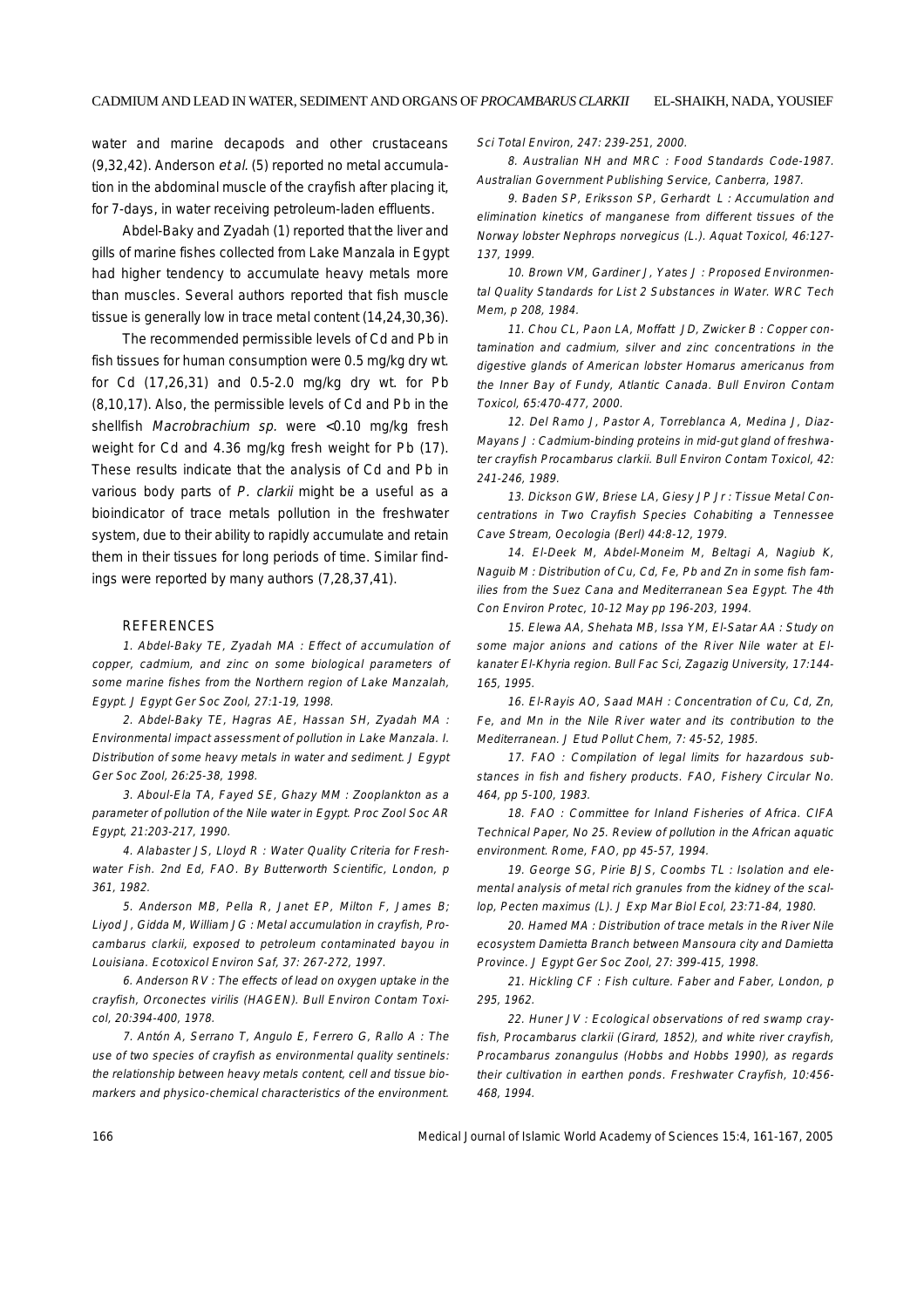water and marine decapods and other crustaceans (9,32,42). Anderson et al. (5) reported no metal accumulation in the abdominal muscle of the crayfish after placing it, for 7-days, in water receiving petroleum-laden effluents.

Abdel-Baky and Zyadah (1) reported that the liver and gills of marine fishes collected from Lake Manzala in Egypt had higher tendency to accumulate heavy metals more than muscles. Several authors reported that fish muscle tissue is generally low in trace metal content (14,24,30,36).

The recommended permissible levels of Cd and Pb in fish tissues for human consumption were 0.5 mg/kg dry wt. for Cd (17,26,31) and 0.5-2.0 mg/kg dry wt. for Pb (8,10,17). Also, the permissible levels of Cd and Pb in the shellfish Macrobrachium sp. were <0.10 mg/kg fresh weight for Cd and 4.36 mg/kg fresh weight for Pb (17). These results indicate that the analysis of Cd and Pb in various body parts of P. clarkii might be a useful as a bioindicator of trace metals pollution in the freshwater system, due to their ability to rapidly accumulate and retain them in their tissues for long periods of time. Similar findings were reported by many authors (7,28,37,41).

#### REFERENCES

1. Abdel-Baky TE, Zyadah MA : Effect of accumulation of copper, cadmium, and zinc on some biological parameters of some marine fishes from the Northern region of Lake Manzalah, Egypt. J Egypt Ger Soc Zool, 27:1-19, 1998.

2. Abdel-Baky TE, Hagras AE, Hassan SH, Zyadah MA : Environmental impact assessment of pollution in Lake Manzala. I. Distribution of some heavy metals in water and sediment. J Egypt Ger Soc Zool, 26:25-38, 1998.

3. Aboul-Ela TA, Fayed SE, Ghazy MM : Zooplankton as a parameter of pollution of the Nile water in Egypt. Proc Zool Soc AR Egypt, 21:203-217, 1990.

4. Alabaster JS, Lloyd R : Water Quality Criteria for Freshwater Fish. 2nd Ed, FAO. By Butterworth Scientific, London, p 361, 1982.

5. Anderson MB, Pella R, Janet EP, Milton F, James B; Liyod J, Gidda M, William JG : Metal accumulation in crayfish, Procambarus clarkii, exposed to petroleum contaminated bayou in Louisiana. Ecotoxicol Environ Saf, 37: 267-272, 1997.

6. Anderson RV : The effects of lead on oxygen uptake in the crayfish, Orconectes virilis (HAGEN). Bull Environ Contam Toxicol, 20:394-400, 1978.

7. Antón A, Serrano T, Angulo E, Ferrero G, Rallo A : The use of two species of crayfish as environmental quality sentinels: the relationship between heavy metals content, cell and tissue biomarkers and physico-chemical characteristics of the environment.

Sci Total Environ, 247: 239-251, 2000.

8. Australian NH and MRC : Food Standards Code-1987. Australian Government Publishing Service, Canberra, 1987.

9. Baden SP, Eriksson SP, Gerhardt L : Accumulation and elimination kinetics of manganese from different tissues of the Norway lobster Nephrops norvegicus (L.). Aquat Toxicol, 46:127- 137, 1999.

10. Brown VM, Gardiner J, Yates J : Proposed Environmental Quality Standards for List 2 Substances in Water. WRC Tech Mem, p 208, 1984.

11. Chou CL, Paon LA, Moffatt JD, Zwicker B : Copper contamination and cadmium, silver and zinc concentrations in the digestive glands of American lobster Homarus americanus from the Inner Bay of Fundy, Atlantic Canada. Bull Environ Contam Toxicol, 65:470-477, 2000.

12. Del Ramo J, Pastor A, Torreblanca A, Medina J, Diaz-Mayans J : Cadmium-binding proteins in mid-gut gland of freshwater crayfish Procambarus clarkii. Bull Environ Contam Toxicol, 42: 241-246, 1989.

13. Dickson GW, Briese LA, Giesy JP Jr : Tissue Metal Concentrations in Two Crayfish Species Cohabiting a Tennessee Cave Stream, Oecologia (Berl) 44:8-12, 1979.

14. El-Deek M, Abdel-Moneim M, Beltagi A, Nagiub K, Naguib M : Distribution of Cu, Cd, Fe, Pb and Zn in some fish families from the Suez Cana and Mediterranean Sea Egypt. The 4th Con Environ Protec, 10-12 May pp 196-203, 1994.

15. Elewa AA, Shehata MB, Issa YM, El-Satar AA : Study on some major anions and cations of the River Nile water at Elkanater El-Khyria region. Bull Fac Sci, Zagazig University, 17:144- 165, 1995.

16. El-Rayis AO, Saad MAH : Concentration of Cu, Cd, Zn, Fe, and Mn in the Nile River water and its contribution to the Mediterranean. J Etud Pollut Chem, 7: 45-52, 1985.

17. FAO : Compilation of legal limits for hazardous substances in fish and fishery products. FAO, Fishery Circular No. 464, pp 5-100, 1983.

18. FAO : Committee for Inland Fisheries of Africa. CIFA Technical Paper, No 25. Review of pollution in the African aquatic environment. Rome, FAO, pp 45-57, 1994.

19. George SG, Pirie BJS, Coombs TL : Isolation and elemental analysis of metal rich granules from the kidney of the scallop, Pecten maximus (L). J Exp Mar Biol Ecol, 23:71-84, 1980.

20. Hamed MA : Distribution of trace metals in the River Nile ecosystem Damietta Branch between Mansoura city and Damietta Province. J Egypt Ger Soc Zool, 27: 399-415, 1998.

21. Hickling CF : Fish culture. Faber and Faber, London, p 295, 1962.

22. Huner JV : Ecological observations of red swamp crayfish, Procambarus clarkii (Girard, 1852), and white river crayfish, Procambarus zonangulus (Hobbs and Hobbs 1990), as regards their cultivation in earthen ponds. Freshwater Crayfish, 10:456- 468, 1994.

166 Medical Journal of Islamic World Academy of Sciences 15:4, 161-167, 2005